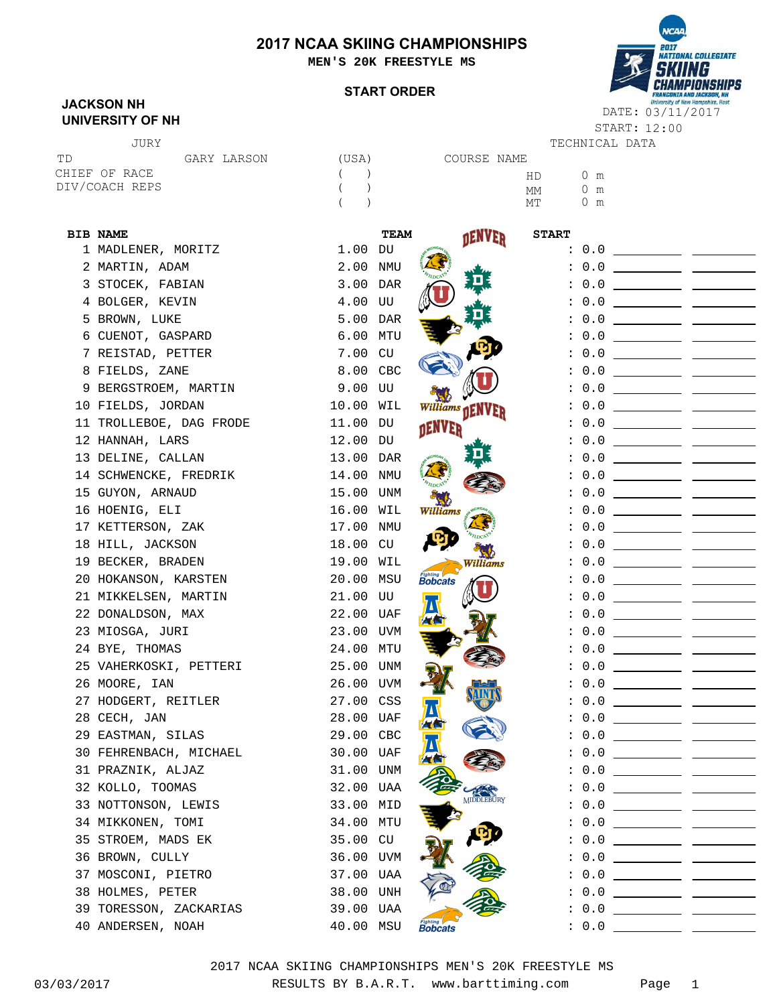### **2017 NCAA SKIING CHAMPIONSHIPS**

**MEN'S 20K FREESTYLE MS**

#### **START ORDER**



START: 12:00

### **JACKSON NH UNIVERSITY OF NH**

| JURY           |             |       |
|----------------|-------------|-------|
| T D            | GARY LARSON | (USA) |
| CHIEF OF RACE  |             | $($ ) |
| DIV/COACH REPS |             | $($ ) |
|                |             |       |

JURY TECHNICAL DATA (USA) COURSE NAME  $($  ) and  $HD$  0 m m MT 0 m MM

| <b>BIB NAME</b>         |           | <b>TEAM</b> | <b>DENVER</b>     | <b>START</b> |                                 |
|-------------------------|-----------|-------------|-------------------|--------------|---------------------------------|
| 1 MADLENER, MORITZ      | $1.00$ DU |             |                   |              |                                 |
| 2 MARTIN, ADAM          | 2.00 NMU  |             |                   |              |                                 |
| 3 STOCEK, FABIAN        | 3.00 DAR  |             |                   |              |                                 |
| 4 BOLGER, KEVIN         | 4.00 UU   |             |                   |              |                                 |
| 5 BROWN, LUKE           | 5.00 DAR  |             |                   |              |                                 |
| 6 CUENOT, GASPARD       | 6.00 MTU  |             |                   |              |                                 |
| 7 REISTAD, PETTER       | 7.00 CU   |             |                   |              |                                 |
| 8 FIELDS, ZANE          | 8.00 CBC  |             |                   |              |                                 |
| 9 BERGSTROEM, MARTIN    | 9.00 UU   |             |                   |              |                                 |
| 10 FIELDS, JORDAN       | 10.00 WIL |             | Williams DENVER   |              |                                 |
| 11 TROLLEBOE, DAG FRODE | 11.00 DU  |             | <b>NENVER</b>     |              |                                 |
| 12 HANNAH, LARS         | 12.00 DU  |             |                   |              |                                 |
| 13 DELINE, CALLAN       | 13.00 DAR |             |                   |              |                                 |
| 14 SCHWENCKE, FREDRIK   | 14.00 NMU |             |                   |              |                                 |
| 15 GUYON, ARNAUD        | 15.00 UNM |             |                   |              | $\cdot$ 0.0 ___________ _______ |
| 16 HOENIG, ELI          | 16.00 WIL |             | Williams          |              |                                 |
| 17 KETTERSON, ZAK       | 17.00 NMU |             |                   |              |                                 |
| 18 HILL, JACKSON        | 18.00 CU  |             |                   |              |                                 |
| 19 BECKER, BRADEN       | 19.00 WIL |             | Williams          |              |                                 |
| 20 HOKANSON, KARSTEN    | 20.00 MSU |             | <b>Bobcats</b>    |              |                                 |
| 21 MIKKELSEN, MARTIN    | 21.00 UU  |             |                   |              |                                 |
| 22 DONALDSON, MAX       | 22.00 UAF |             |                   |              |                                 |
| 23 MIOSGA, JURI         | 23.00 UVM |             |                   |              |                                 |
| 24 BYE, THOMAS          | 24.00 MTU |             |                   |              |                                 |
| 25 VAHERKOSKI, PETTERI  | 25.00 UNM |             |                   |              |                                 |
| 26 MOORE, IAN           | 26.00 UVM |             |                   |              |                                 |
| 27 HODGERT, REITLER     | 27.00 CSS |             |                   |              |                                 |
| 28 CECH, JAN            | 28.00 UAF |             |                   |              |                                 |
| 29 EASTMAN, SILAS       | 29.00 CBC |             |                   |              |                                 |
| 30 FEHRENBACH, MICHAEL  | 30.00 UAF |             |                   |              |                                 |
| 31 PRAZNIK, ALJAZ       | 31.00 UNM |             |                   |              |                                 |
| 32 KOLLO, TOOMAS        | 32.00 UAA |             |                   |              | : 0.0                           |
| 33 NOTTONSON, LEWIS     | 33.00 MID |             | <b>MIDDLEBURY</b> |              |                                 |
| 34 MIKKONEN, TOMI       | 34.00 MTU |             |                   |              |                                 |
| 35 STROEM, MADS EK      | 35.00 CU  |             |                   |              |                                 |
| 36 BROWN, CULLY         | 36.00 UVM |             |                   |              |                                 |
| 37 MOSCONI, PIETRO      | 37.00 UAA |             |                   |              |                                 |
| 38 HOLMES, PETER        | 38.00 UNH |             |                   |              |                                 |
| 39 TORESSON, ZACKARIAS  | 39.00 UAA |             |                   |              |                                 |
| 40 ANDERSEN, NOAH       | 40.00 MSU |             | <b>Fighting</b>   |              |                                 |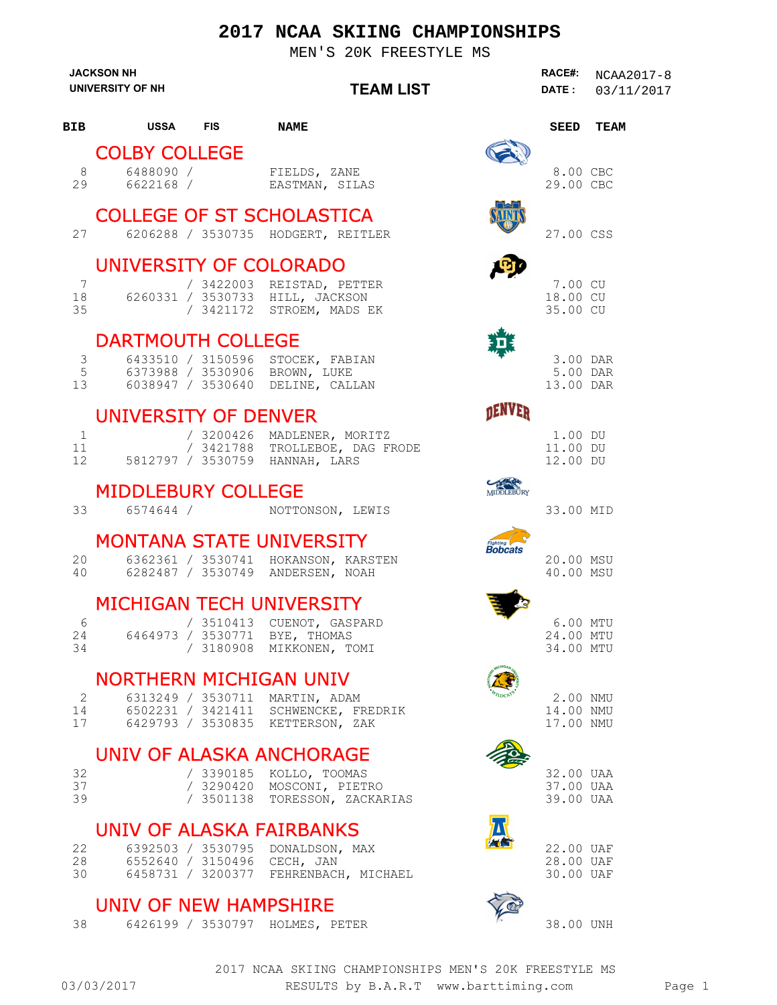## **2017 NCAA SKIING CHAMPIONSHIPS**

MEN'S 20K FREESTYLE MS

|                       | <b>JACKSON NH</b><br>UNIVERSITY OF NH | <b>TEAM LIST</b>                                                                                           | RACE#:<br><b>DATE :</b>             | NCAA2017-8<br>03/11/2017 |
|-----------------------|---------------------------------------|------------------------------------------------------------------------------------------------------------|-------------------------------------|--------------------------|
| BIB                   | USSA FIS                              | <b>NAME</b>                                                                                                | SEED                                | TEAM                     |
|                       | <b>COLBY COLLEGE</b>                  |                                                                                                            |                                     |                          |
| 8<br>29               | 6488090 /<br>6622168 /                | FIELDS, ZANE<br>EASTMAN, SILAS                                                                             | 8.00 CBC<br>29.00 CBC               |                          |
| 27                    |                                       | <b>COLLEGE OF ST SCHOLASTICA</b><br>6206288 / 3530735 HODGERT, REITLER                                     | 27.00 CSS                           |                          |
|                       | UNIVERSITY OF COLORADO                |                                                                                                            |                                     |                          |
| $7\phantom{.0}$<br>35 | 18                                    | / 3422003 REISTAD, PETTER<br>6260331 / 3530733 HILL, JACKSON<br>/ 3421172 STROEM, MADS EK                  | 7.00 CU<br>18.00 CU<br>35.00 CU     |                          |
|                       | <b>DARTMOUTH COLLEGE</b>              |                                                                                                            |                                     |                          |
| 3<br>5                | 13                                    | 6433510 / 3150596 STOCEK, FABIAN<br>6373988 / 3530906 BROWN, LUKE<br>6038947 / 3530640 DELINE, CALLAN      | 3.00 DAR<br>5.00 DAR<br>13.00 DAR   |                          |
|                       | <b>UNIVERSITY OF DENVER</b>           |                                                                                                            |                                     |                          |
| $\mathbf{1}$<br>11    | 12 5812797 / 3530759 HANNAH, LARS     | / 3200426 MADLENER, MORITZ<br>/ 3421788 TROLLEBOE, DAG FRODE                                               | 1.00 DU<br>11.00 DU<br>12.00 DU     |                          |
|                       | <b>MIDDLEBURY COLLEGE</b>             | MIDDLEBURY                                                                                                 |                                     |                          |
| 33                    | 6574644 /                             | NOTTONSON, LEWIS                                                                                           | 33.00 MID                           |                          |
|                       |                                       | <b>MONTANA STATE UNIVERSITY</b><br>Fighting<br>Bobcats                                                     |                                     |                          |
| 20<br>40              |                                       | 6362361 / 3530741 HOKANSON, KARSTEN<br>6282487 / 3530749 ANDERSEN, NOAH                                    | 20.00 MSU<br>40.00 MSU              |                          |
|                       |                                       | <b>MICHIGAN TECH UNIVERSITY</b>                                                                            |                                     |                          |
| 6<br>24<br>34         |                                       | / 3510413 CUENOT, GASPARD<br>6464973 / 3530771 BYE, THOMAS<br>/ 3180908 MIKKONEN, TOMI                     | 6.00 MTU<br>24.00 MTU<br>34.00 MTU  |                          |
|                       | <b>NORTHERN MICHIGAN UNIV</b>         |                                                                                                            |                                     |                          |
| 2<br>14<br>17         |                                       | 6313249 / 3530711 MARTIN, ADAM<br>6502231 / 3421411 SCHWENCKE, FREDRIK<br>6429793 / 3530835 KETTERSON, ZAK | 2.00 NMU<br>14.00 NMU<br>17.00 NMU  |                          |
|                       |                                       | <b>UNIV OF ALASKA ANCHORAGE</b>                                                                            |                                     |                          |
| 32<br>37<br>39        |                                       | / 3390185 KOLLO, TOOMAS<br>/ 3290420 MOSCONI, PIETRO<br>/ 3501138 TORESSON, ZACKARIAS                      | 32.00 UAA<br>37.00 UAA<br>39.00 UAA |                          |
|                       |                                       | <b>UNIV OF ALASKA FAIRBANKS</b>                                                                            |                                     |                          |
| 22<br>28<br>30        |                                       | 6392503 / 3530795 DONALDSON, MAX<br>6552640 / 3150496 CECH, JAN<br>6458731 / 3200377 FEHRENBACH, MICHAEL   | 22.00 UAF<br>28.00 UAF<br>30.00 UAF |                          |
|                       | UNIV OF NEW HAMPSHIRE                 |                                                                                                            |                                     |                          |
| 38                    |                                       | 6426199 / 3530797 HOLMES, PETER                                                                            | 38.00 UNH                           |                          |

03/03/2017 RESULTS by B.A.R.T www.barttiming.com Page 1 2017 NCAA SKIING CHAMPIONSHIPS MEN'S 20K FREESTYLE MS